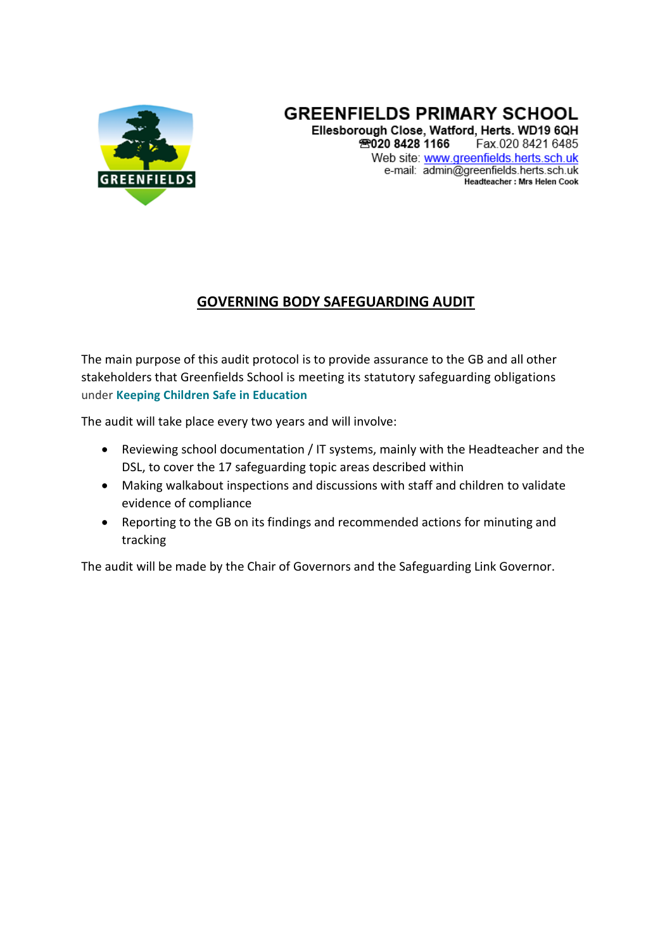

#### **GREENFIELDS PRIMARY SCHOOL** Ellesborough Close, Watford, Herts, WD19 6QH 28020 8428 1166 Fax.020 8421 6485 Web site: www.greenfields.herts.sch.uk e-mail: admin@greenfields.herts.sch.uk Headteacher: Mrs Helen Cook

### **GOVERNING BODY SAFEGUARDING AUDIT**

The main purpose of this audit protocol is to provide assurance to the GB and all other stakeholders that Greenfields School is meeting its statutory safeguarding obligations under **[Keeping Children Safe in Education](https://www.gov.uk/government/uploads/system/uploads/attachment_data/file/550511/Keeping_children_safe_in_education.pdf)**

The audit will take place every two years and will involve:

- Reviewing school documentation / IT systems, mainly with the Headteacher and the DSL, to cover the 17 safeguarding topic areas described within
- Making walkabout inspections and discussions with staff and children to validate evidence of compliance
- Reporting to the GB on its findings and recommended actions for minuting and tracking

The audit will be made by the Chair of Governors and the Safeguarding Link Governor.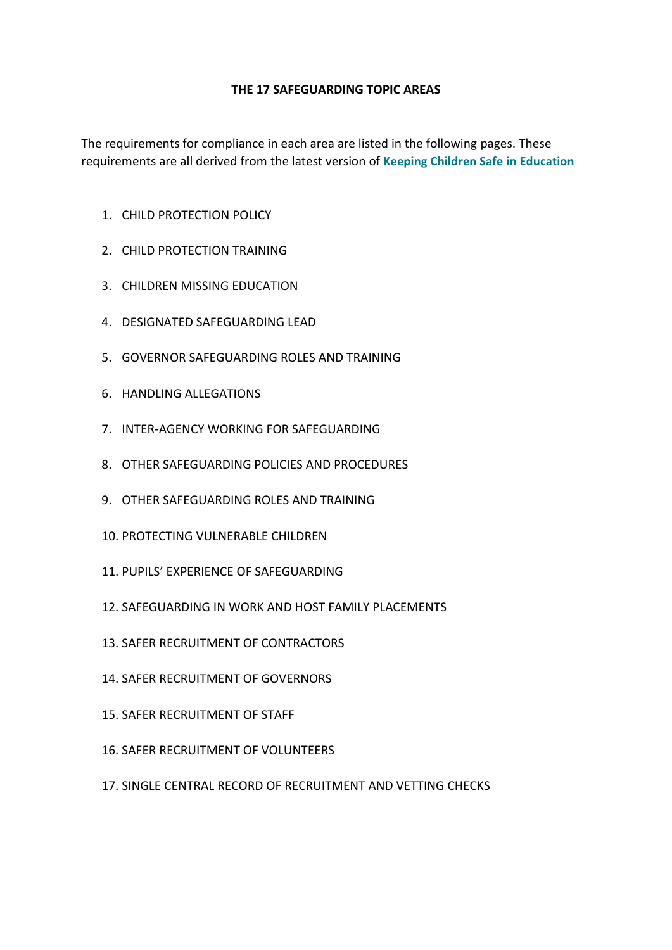#### **THE 17 SAFEGUARDING TOPIC AREAS**

The requirements for compliance in each area are listed in the following pages. These requirements are all derived from the latest version of **[Keeping Children Safe in Education](https://www.gov.uk/government/uploads/system/uploads/attachment_data/file/550511/Keeping_children_safe_in_education.pdf)**

- 1. CHILD PROTECTION POLICY
- 2. CHILD PROTECTION TRAINING
- 3. CHILDREN MISSING EDUCATION
- 4. DESIGNATED SAFEGUARDING LEAD
- 5. GOVERNOR SAFEGUARDING ROLES AND TRAINING
- 6. HANDLING ALLEGATIONS
- 7. INTER-AGENCY WORKING FOR SAFEGUARDING
- 8. OTHER SAFEGUARDING POLICIES AND PROCEDURES
- 9. OTHER SAFEGUARDING ROLES AND TRAINING
- 10. PROTECTING VULNERABLE CHILDREN
- 11. PUPILS' EXPERIENCE OF SAFEGUARDING
- 12. SAFEGUARDING IN WORK AND HOST FAMILY PLACEMENTS
- 13. SAFER RECRUITMENT OF CONTRACTORS
- 14. SAFER RECRUITMENT OF GOVERNORS
- 15. SAFER RECRUITMENT OF STAFF
- 16. SAFER RECRUITMENT OF VOLUNTEERS
- 17. SINGLE CENTRAL RECORD OF RECRUITMENT AND VETTING CHECKS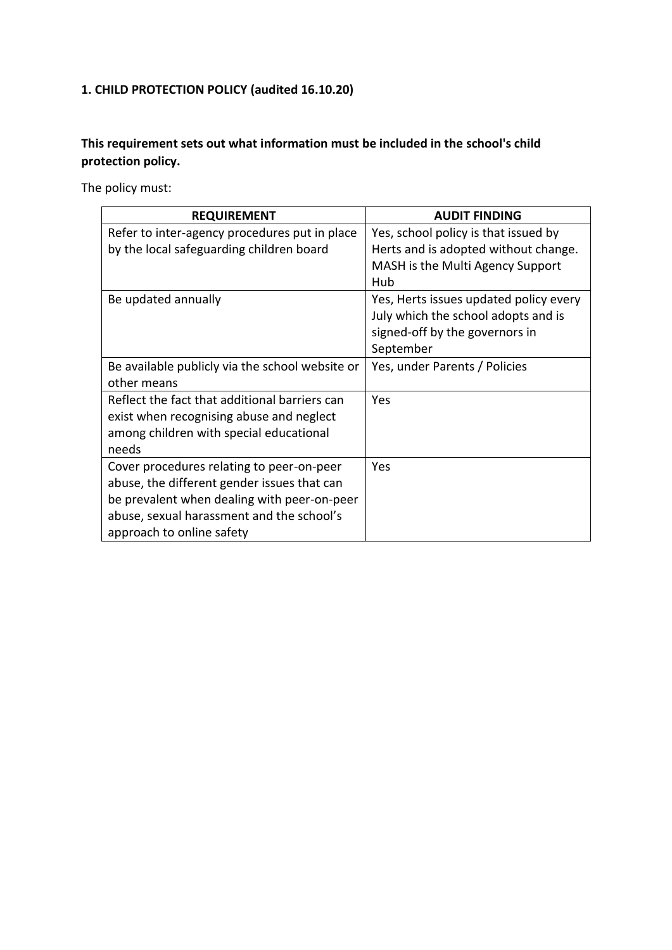# **1. CHILD PROTECTION POLICY (audited 16.10.20)**

### **This requirement sets out what information must be included in the school's child protection policy.**

The policy must:

| <b>REQUIREMENT</b>                              | <b>AUDIT FINDING</b>                   |
|-------------------------------------------------|----------------------------------------|
| Refer to inter-agency procedures put in place   | Yes, school policy is that issued by   |
| by the local safeguarding children board        | Herts and is adopted without change.   |
|                                                 | MASH is the Multi Agency Support       |
|                                                 | Hub                                    |
| Be updated annually                             | Yes, Herts issues updated policy every |
|                                                 | July which the school adopts and is    |
|                                                 | signed-off by the governors in         |
|                                                 | September                              |
| Be available publicly via the school website or | Yes, under Parents / Policies          |
| other means                                     |                                        |
| Reflect the fact that additional barriers can   | Yes                                    |
| exist when recognising abuse and neglect        |                                        |
| among children with special educational         |                                        |
| needs                                           |                                        |
| Cover procedures relating to peer-on-peer       | Yes                                    |
| abuse, the different gender issues that can     |                                        |
| be prevalent when dealing with peer-on-peer     |                                        |
| abuse, sexual harassment and the school's       |                                        |
| approach to online safety                       |                                        |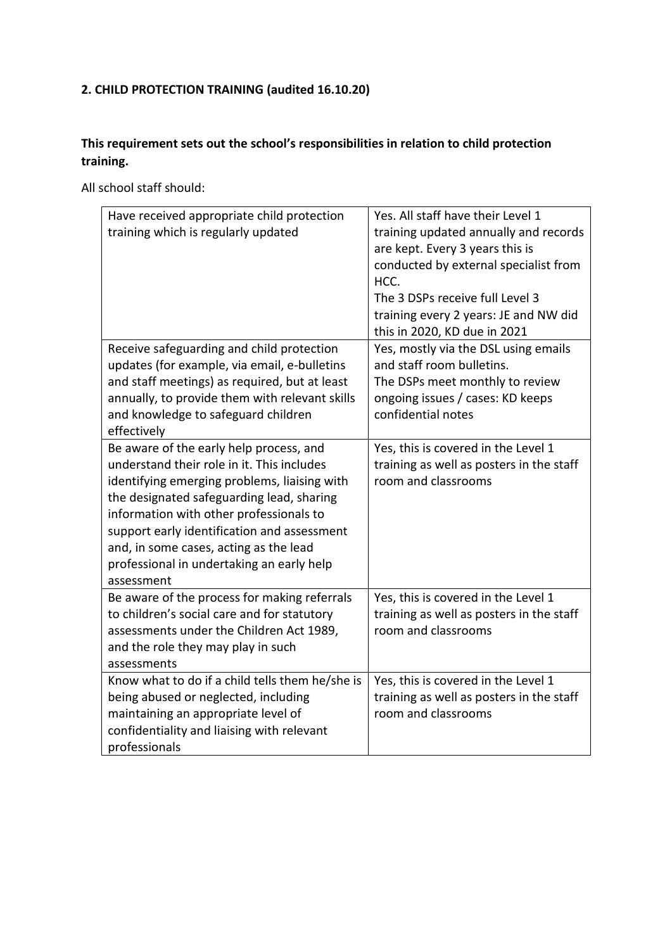# **2. CHILD PROTECTION TRAINING (audited 16.10.20)**

### **This requirement sets out the school's responsibilities in relation to child protection training.**

All school staff should:

| Have received appropriate child protection<br>training which is regularly updated                                                                                                                                                                                                                                                                                                 | Yes. All staff have their Level 1<br>training updated annually and records<br>are kept. Every 3 years this is<br>conducted by external specialist from<br>HCC.<br>The 3 DSPs receive full Level 3<br>training every 2 years: JE and NW did<br>this in 2020, KD due in 2021 |
|-----------------------------------------------------------------------------------------------------------------------------------------------------------------------------------------------------------------------------------------------------------------------------------------------------------------------------------------------------------------------------------|----------------------------------------------------------------------------------------------------------------------------------------------------------------------------------------------------------------------------------------------------------------------------|
| Receive safeguarding and child protection<br>updates (for example, via email, e-bulletins<br>and staff meetings) as required, but at least<br>annually, to provide them with relevant skills<br>and knowledge to safeguard children<br>effectively                                                                                                                                | Yes, mostly via the DSL using emails<br>and staff room bulletins.<br>The DSPs meet monthly to review<br>ongoing issues / cases: KD keeps<br>confidential notes                                                                                                             |
| Be aware of the early help process, and<br>understand their role in it. This includes<br>identifying emerging problems, liaising with<br>the designated safeguarding lead, sharing<br>information with other professionals to<br>support early identification and assessment<br>and, in some cases, acting as the lead<br>professional in undertaking an early help<br>assessment | Yes, this is covered in the Level 1<br>training as well as posters in the staff<br>room and classrooms                                                                                                                                                                     |
| Be aware of the process for making referrals<br>to children's social care and for statutory<br>assessments under the Children Act 1989,<br>and the role they may play in such<br>assessments                                                                                                                                                                                      | Yes, this is covered in the Level 1<br>training as well as posters in the staff<br>room and classrooms                                                                                                                                                                     |
| Know what to do if a child tells them he/she is<br>being abused or neglected, including<br>maintaining an appropriate level of<br>confidentiality and liaising with relevant<br>professionals                                                                                                                                                                                     | Yes, this is covered in the Level 1<br>training as well as posters in the staff<br>room and classrooms                                                                                                                                                                     |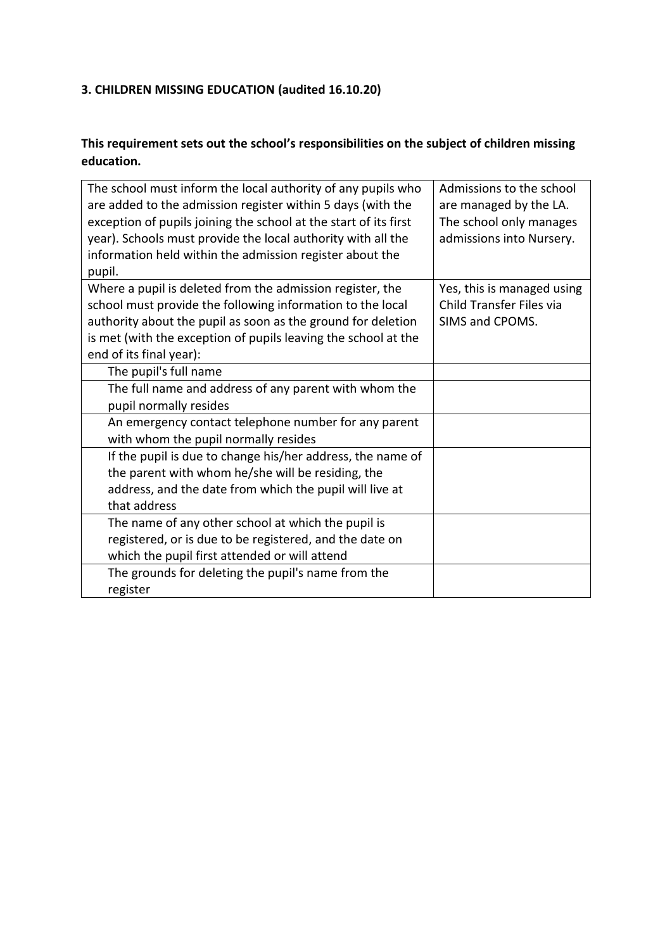# **3. CHILDREN MISSING EDUCATION (audited 16.10.20)**

### **This requirement sets out the school's responsibilities on the subject of children missing education.**

| The school must inform the local authority of any pupils who<br>are added to the admission register within 5 days (with the<br>exception of pupils joining the school at the start of its first<br>year). Schools must provide the local authority with all the<br>information held within the admission register about the<br>pupil. | Admissions to the school<br>are managed by the LA.<br>The school only manages<br>admissions into Nursery. |
|---------------------------------------------------------------------------------------------------------------------------------------------------------------------------------------------------------------------------------------------------------------------------------------------------------------------------------------|-----------------------------------------------------------------------------------------------------------|
| Where a pupil is deleted from the admission register, the<br>school must provide the following information to the local                                                                                                                                                                                                               | Yes, this is managed using<br>Child Transfer Files via                                                    |
| authority about the pupil as soon as the ground for deletion                                                                                                                                                                                                                                                                          | SIMS and CPOMS.                                                                                           |
| is met (with the exception of pupils leaving the school at the                                                                                                                                                                                                                                                                        |                                                                                                           |
| end of its final year):                                                                                                                                                                                                                                                                                                               |                                                                                                           |
| The pupil's full name                                                                                                                                                                                                                                                                                                                 |                                                                                                           |
| The full name and address of any parent with whom the                                                                                                                                                                                                                                                                                 |                                                                                                           |
| pupil normally resides                                                                                                                                                                                                                                                                                                                |                                                                                                           |
| An emergency contact telephone number for any parent                                                                                                                                                                                                                                                                                  |                                                                                                           |
| with whom the pupil normally resides                                                                                                                                                                                                                                                                                                  |                                                                                                           |
| If the pupil is due to change his/her address, the name of                                                                                                                                                                                                                                                                            |                                                                                                           |
| the parent with whom he/she will be residing, the                                                                                                                                                                                                                                                                                     |                                                                                                           |
| address, and the date from which the pupil will live at                                                                                                                                                                                                                                                                               |                                                                                                           |
| that address                                                                                                                                                                                                                                                                                                                          |                                                                                                           |
| The name of any other school at which the pupil is                                                                                                                                                                                                                                                                                    |                                                                                                           |
| registered, or is due to be registered, and the date on                                                                                                                                                                                                                                                                               |                                                                                                           |
| which the pupil first attended or will attend                                                                                                                                                                                                                                                                                         |                                                                                                           |
| The grounds for deleting the pupil's name from the                                                                                                                                                                                                                                                                                    |                                                                                                           |
| register                                                                                                                                                                                                                                                                                                                              |                                                                                                           |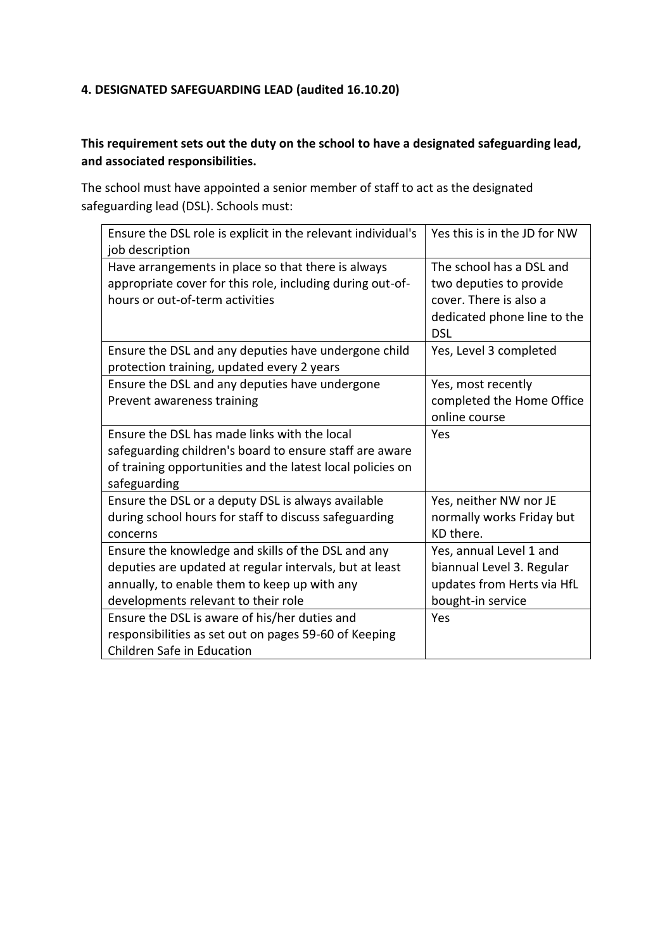#### **4. DESIGNATED SAFEGUARDING LEAD (audited 16.10.20)**

### **This requirement sets out the duty on the school to have a designated safeguarding lead, and associated responsibilities.**

The school must have appointed a senior member of staff to act as the designated safeguarding lead (DSL). Schools must:

| Ensure the DSL role is explicit in the relevant individual's<br>job description                                                                                                                      | Yes this is in the JD for NW                                                                                               |
|------------------------------------------------------------------------------------------------------------------------------------------------------------------------------------------------------|----------------------------------------------------------------------------------------------------------------------------|
| Have arrangements in place so that there is always<br>appropriate cover for this role, including during out-of-<br>hours or out-of-term activities                                                   | The school has a DSL and<br>two deputies to provide<br>cover. There is also a<br>dedicated phone line to the<br><b>DSL</b> |
| Ensure the DSL and any deputies have undergone child<br>protection training, updated every 2 years                                                                                                   | Yes, Level 3 completed                                                                                                     |
| Ensure the DSL and any deputies have undergone<br>Prevent awareness training                                                                                                                         | Yes, most recently<br>completed the Home Office<br>online course                                                           |
| Ensure the DSL has made links with the local<br>safeguarding children's board to ensure staff are aware<br>of training opportunities and the latest local policies on<br>safeguarding                | Yes                                                                                                                        |
| Ensure the DSL or a deputy DSL is always available<br>during school hours for staff to discuss safeguarding<br>concerns                                                                              | Yes, neither NW nor JE<br>normally works Friday but<br>KD there.                                                           |
| Ensure the knowledge and skills of the DSL and any<br>deputies are updated at regular intervals, but at least<br>annually, to enable them to keep up with any<br>developments relevant to their role | Yes, annual Level 1 and<br>biannual Level 3. Regular<br>updates from Herts via HfL<br>bought-in service                    |
| Ensure the DSL is aware of his/her duties and<br>responsibilities as set out on pages 59-60 of Keeping<br>Children Safe in Education                                                                 | Yes                                                                                                                        |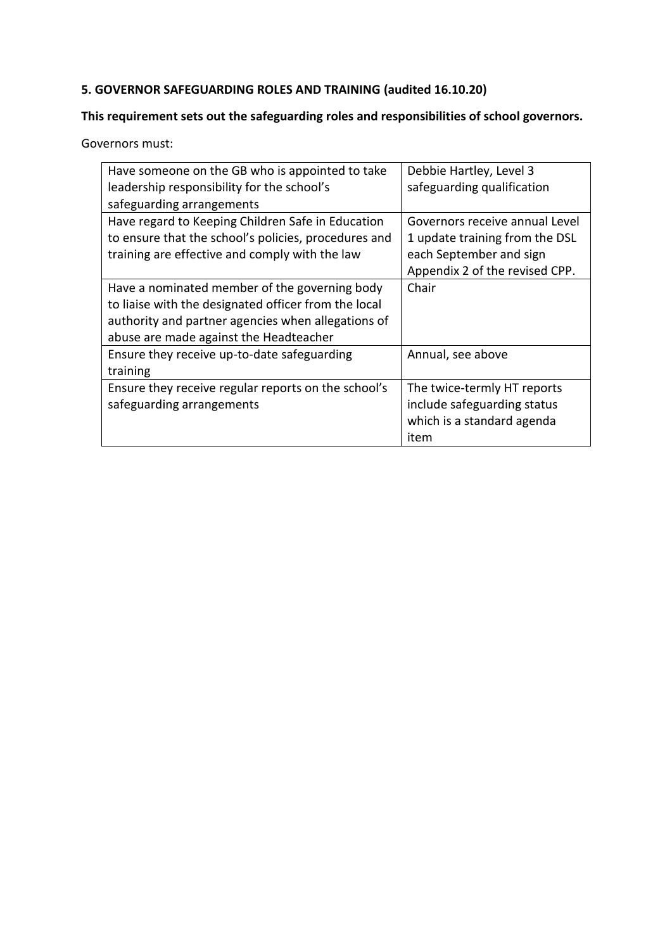### **5. GOVERNOR SAFEGUARDING ROLES AND TRAINING (audited 16.10.20)**

### **This requirement sets out the safeguarding roles and responsibilities of school governors.**

Governors must:

| Have someone on the GB who is appointed to take      | Debbie Hartley, Level 3        |
|------------------------------------------------------|--------------------------------|
| leadership responsibility for the school's           | safeguarding qualification     |
| safeguarding arrangements                            |                                |
| Have regard to Keeping Children Safe in Education    | Governors receive annual Level |
| to ensure that the school's policies, procedures and | 1 update training from the DSL |
| training are effective and comply with the law       | each September and sign        |
|                                                      | Appendix 2 of the revised CPP. |
| Have a nominated member of the governing body        | Chair                          |
| to liaise with the designated officer from the local |                                |
| authority and partner agencies when allegations of   |                                |
| abuse are made against the Headteacher               |                                |
| Ensure they receive up-to-date safeguarding          | Annual, see above              |
| training                                             |                                |
| Ensure they receive regular reports on the school's  | The twice-termly HT reports    |
| safeguarding arrangements                            | include safeguarding status    |
|                                                      | which is a standard agenda     |
|                                                      | item                           |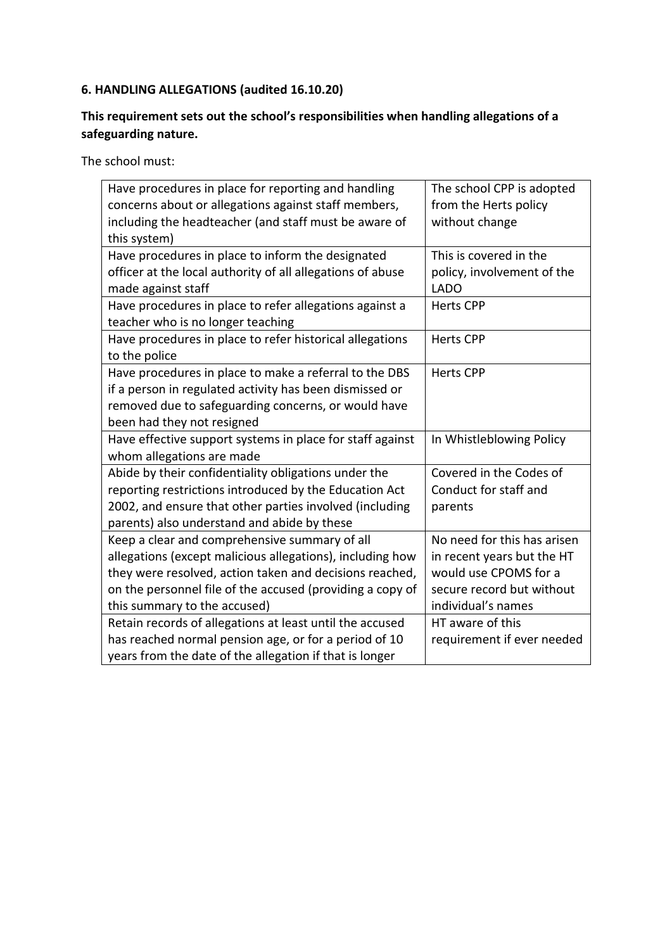### **6. HANDLING ALLEGATIONS (audited 16.10.20)**

## **This requirement sets out the school's responsibilities when handling allegations of a safeguarding nature.**

| Have procedures in place for reporting and handling        | The school CPP is adopted   |
|------------------------------------------------------------|-----------------------------|
| concerns about or allegations against staff members,       | from the Herts policy       |
| including the headteacher (and staff must be aware of      | without change              |
| this system)                                               |                             |
| Have procedures in place to inform the designated          | This is covered in the      |
| officer at the local authority of all allegations of abuse | policy, involvement of the  |
| made against staff                                         | <b>LADO</b>                 |
| Have procedures in place to refer allegations against a    | <b>Herts CPP</b>            |
| teacher who is no longer teaching                          |                             |
| Have procedures in place to refer historical allegations   | <b>Herts CPP</b>            |
| to the police                                              |                             |
| Have procedures in place to make a referral to the DBS     | <b>Herts CPP</b>            |
| if a person in regulated activity has been dismissed or    |                             |
| removed due to safeguarding concerns, or would have        |                             |
| been had they not resigned                                 |                             |
| Have effective support systems in place for staff against  | In Whistleblowing Policy    |
| whom allegations are made                                  |                             |
| Abide by their confidentiality obligations under the       | Covered in the Codes of     |
| reporting restrictions introduced by the Education Act     | Conduct for staff and       |
| 2002, and ensure that other parties involved (including    | parents                     |
| parents) also understand and abide by these                |                             |
| Keep a clear and comprehensive summary of all              | No need for this has arisen |
| allegations (except malicious allegations), including how  | in recent years but the HT  |
| they were resolved, action taken and decisions reached,    | would use CPOMS for a       |
| on the personnel file of the accused (providing a copy of  | secure record but without   |
| this summary to the accused)                               | individual's names          |
| Retain records of allegations at least until the accused   | HT aware of this            |
| has reached normal pension age, or for a period of 10      | requirement if ever needed  |
| years from the date of the allegation if that is longer    |                             |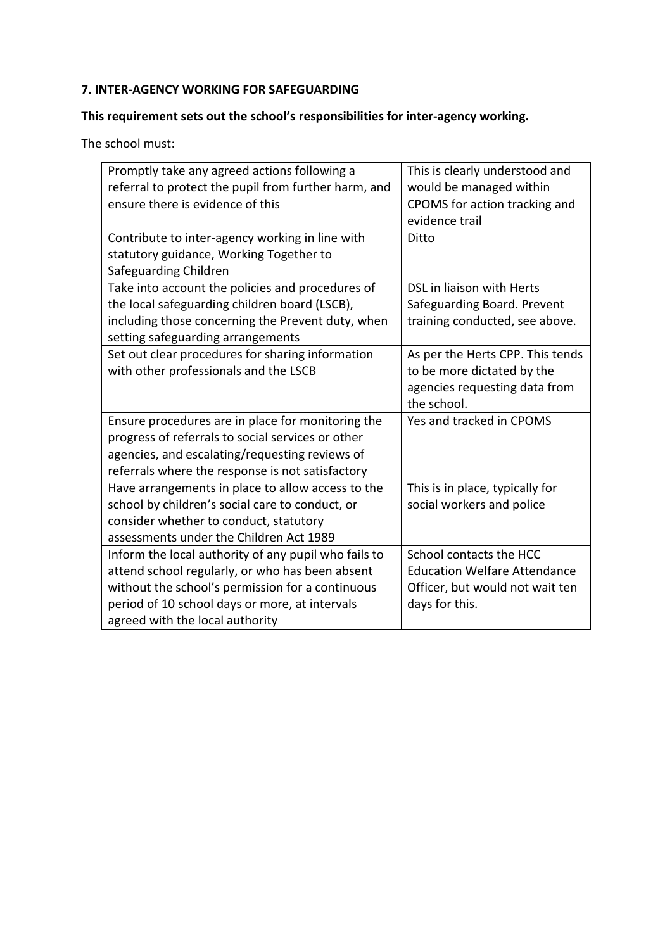# **7. INTER-AGENCY WORKING FOR SAFEGUARDING**

### **This requirement sets out the school's responsibilities for inter-agency working.**

| Promptly take any agreed actions following a         | This is clearly understood and      |
|------------------------------------------------------|-------------------------------------|
| referral to protect the pupil from further harm, and | would be managed within             |
| ensure there is evidence of this                     | CPOMS for action tracking and       |
|                                                      | evidence trail                      |
| Contribute to inter-agency working in line with      | Ditto                               |
| statutory guidance, Working Together to              |                                     |
| Safeguarding Children                                |                                     |
| Take into account the policies and procedures of     | DSL in liaison with Herts           |
| the local safeguarding children board (LSCB),        | Safeguarding Board. Prevent         |
| including those concerning the Prevent duty, when    | training conducted, see above.      |
| setting safeguarding arrangements                    |                                     |
| Set out clear procedures for sharing information     | As per the Herts CPP. This tends    |
| with other professionals and the LSCB                | to be more dictated by the          |
|                                                      | agencies requesting data from       |
|                                                      | the school.                         |
| Ensure procedures are in place for monitoring the    | Yes and tracked in CPOMS            |
| progress of referrals to social services or other    |                                     |
| agencies, and escalating/requesting reviews of       |                                     |
| referrals where the response is not satisfactory     |                                     |
| Have arrangements in place to allow access to the    | This is in place, typically for     |
| school by children's social care to conduct, or      | social workers and police           |
| consider whether to conduct, statutory               |                                     |
| assessments under the Children Act 1989              |                                     |
| Inform the local authority of any pupil who fails to | School contacts the HCC             |
| attend school regularly, or who has been absent      | <b>Education Welfare Attendance</b> |
| without the school's permission for a continuous     | Officer, but would not wait ten     |
| period of 10 school days or more, at intervals       | days for this.                      |
| agreed with the local authority                      |                                     |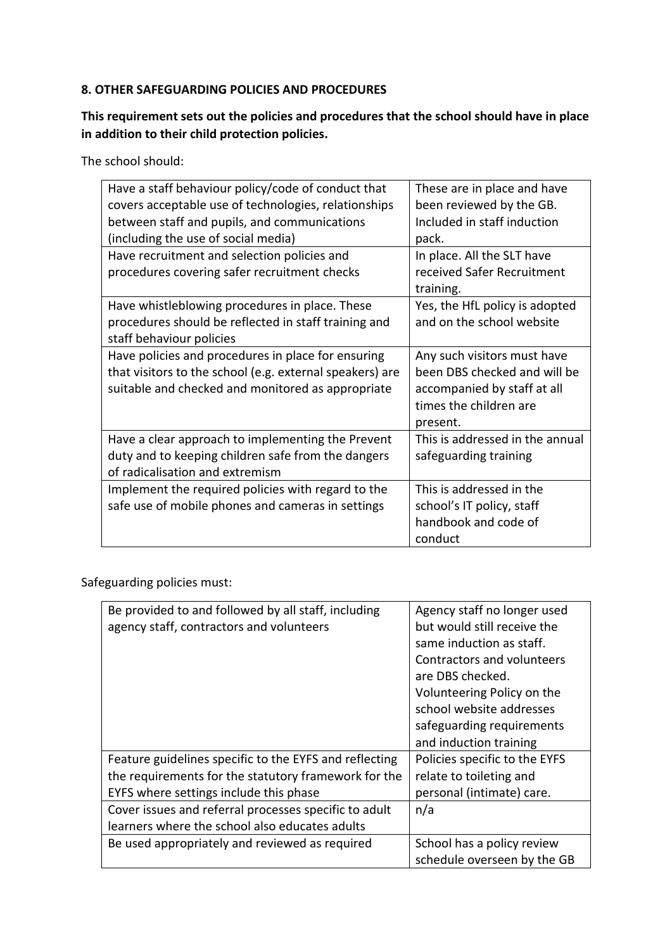#### **8. OTHER SAFEGUARDING POLICIES AND PROCEDURES**

### **This requirement sets out the policies and procedures that the school should have in place in addition to their child protection policies.**

The school should:

| Have a staff behaviour policy/code of conduct that<br>covers acceptable use of technologies, relationships<br>between staff and pupils, and communications<br>(including the use of social media) | These are in place and have<br>been reviewed by the GB.<br>Included in staff induction<br>pack.                                  |
|---------------------------------------------------------------------------------------------------------------------------------------------------------------------------------------------------|----------------------------------------------------------------------------------------------------------------------------------|
| Have recruitment and selection policies and<br>procedures covering safer recruitment checks                                                                                                       | In place. All the SLT have<br>received Safer Recruitment<br>training.                                                            |
| Have whistleblowing procedures in place. These<br>procedures should be reflected in staff training and<br>staff behaviour policies                                                                | Yes, the HfL policy is adopted<br>and on the school website                                                                      |
| Have policies and procedures in place for ensuring<br>that visitors to the school (e.g. external speakers) are<br>suitable and checked and monitored as appropriate                               | Any such visitors must have<br>been DBS checked and will be<br>accompanied by staff at all<br>times the children are<br>present. |
| Have a clear approach to implementing the Prevent<br>duty and to keeping children safe from the dangers<br>of radicalisation and extremism                                                        | This is addressed in the annual<br>safeguarding training                                                                         |
| Implement the required policies with regard to the<br>safe use of mobile phones and cameras in settings                                                                                           | This is addressed in the<br>school's IT policy, staff<br>handbook and code of<br>conduct                                         |

Safeguarding policies must:

| Be provided to and followed by all staff, including    | Agency staff no longer used   |
|--------------------------------------------------------|-------------------------------|
| agency staff, contractors and volunteers               | but would still receive the   |
|                                                        | same induction as staff.      |
|                                                        | Contractors and volunteers    |
|                                                        | are DBS checked.              |
|                                                        | Volunteering Policy on the    |
|                                                        | school website addresses      |
|                                                        | safeguarding requirements     |
|                                                        | and induction training        |
| Feature guidelines specific to the EYFS and reflecting | Policies specific to the EYFS |
| the requirements for the statutory framework for the   | relate to toileting and       |
| EYFS where settings include this phase                 | personal (intimate) care.     |
| Cover issues and referral processes specific to adult  | n/a                           |
| learners where the school also educates adults         |                               |
| Be used appropriately and reviewed as required         | School has a policy review    |
|                                                        | schedule overseen by the GB   |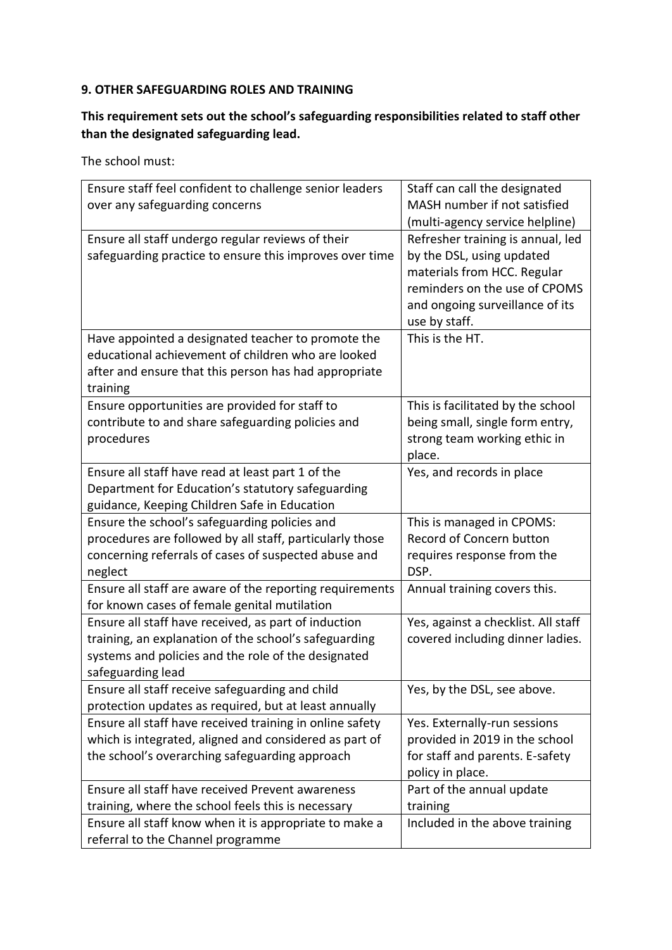#### **9. OTHER SAFEGUARDING ROLES AND TRAINING**

### **This requirement sets out the school's safeguarding responsibilities related to staff other than the designated safeguarding lead.**

| Ensure staff feel confident to challenge senior leaders  | Staff can call the designated       |
|----------------------------------------------------------|-------------------------------------|
| over any safeguarding concerns                           | MASH number if not satisfied        |
|                                                          | (multi-agency service helpline)     |
| Ensure all staff undergo regular reviews of their        | Refresher training is annual, led   |
| safeguarding practice to ensure this improves over time  | by the DSL, using updated           |
|                                                          | materials from HCC. Regular         |
|                                                          | reminders on the use of CPOMS       |
|                                                          | and ongoing surveillance of its     |
|                                                          | use by staff.                       |
| Have appointed a designated teacher to promote the       | This is the HT.                     |
| educational achievement of children who are looked       |                                     |
| after and ensure that this person has had appropriate    |                                     |
| training                                                 |                                     |
| Ensure opportunities are provided for staff to           | This is facilitated by the school   |
| contribute to and share safeguarding policies and        | being small, single form entry,     |
| procedures                                               | strong team working ethic in        |
|                                                          | place.                              |
| Ensure all staff have read at least part 1 of the        | Yes, and records in place           |
| Department for Education's statutory safeguarding        |                                     |
| guidance, Keeping Children Safe in Education             |                                     |
| Ensure the school's safeguarding policies and            | This is managed in CPOMS:           |
| procedures are followed by all staff, particularly those | Record of Concern button            |
| concerning referrals of cases of suspected abuse and     | requires response from the          |
| neglect                                                  | DSP.                                |
| Ensure all staff are aware of the reporting requirements | Annual training covers this.        |
| for known cases of female genital mutilation             |                                     |
| Ensure all staff have received, as part of induction     | Yes, against a checklist. All staff |
| training, an explanation of the school's safeguarding    | covered including dinner ladies.    |
| systems and policies and the role of the designated      |                                     |
| safeguarding lead                                        |                                     |
| Ensure all staff receive safeguarding and child          | Yes, by the DSL, see above.         |
| protection updates as required, but at least annually    |                                     |
| Ensure all staff have received training in online safety | Yes. Externally-run sessions        |
| which is integrated, aligned and considered as part of   | provided in 2019 in the school      |
| the school's overarching safeguarding approach           | for staff and parents. E-safety     |
|                                                          | policy in place.                    |
| Ensure all staff have received Prevent awareness         | Part of the annual update           |
| training, where the school feels this is necessary       | training                            |
| Ensure all staff know when it is appropriate to make a   | Included in the above training      |
| referral to the Channel programme                        |                                     |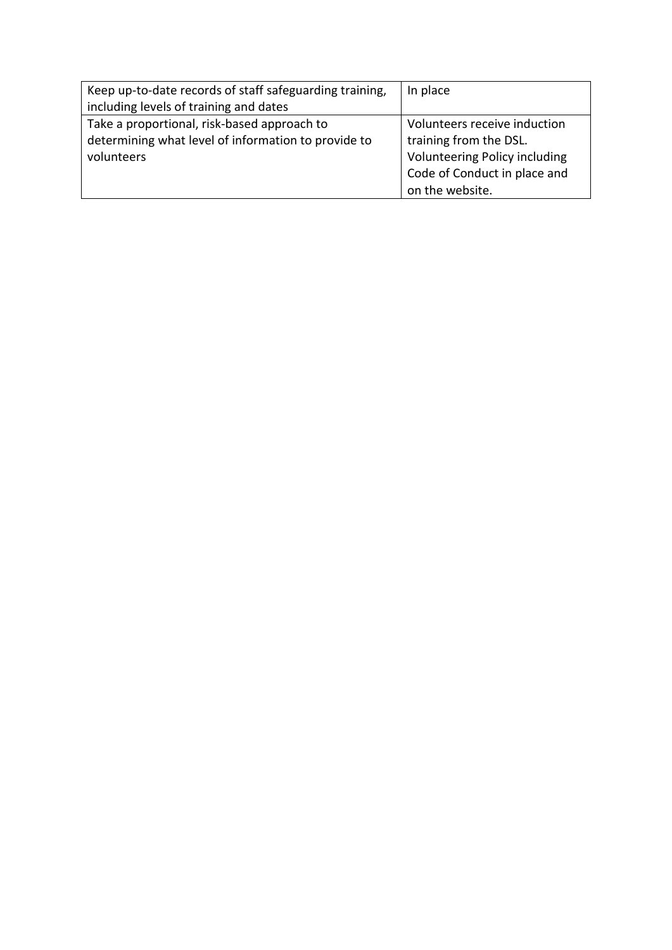| Keep up-to-date records of staff safeguarding training, | In place                      |
|---------------------------------------------------------|-------------------------------|
| including levels of training and dates                  |                               |
| Take a proportional, risk-based approach to             | Volunteers receive induction  |
| determining what level of information to provide to     | training from the DSL.        |
| volunteers                                              | Volunteering Policy including |
|                                                         | Code of Conduct in place and  |
|                                                         | on the website.               |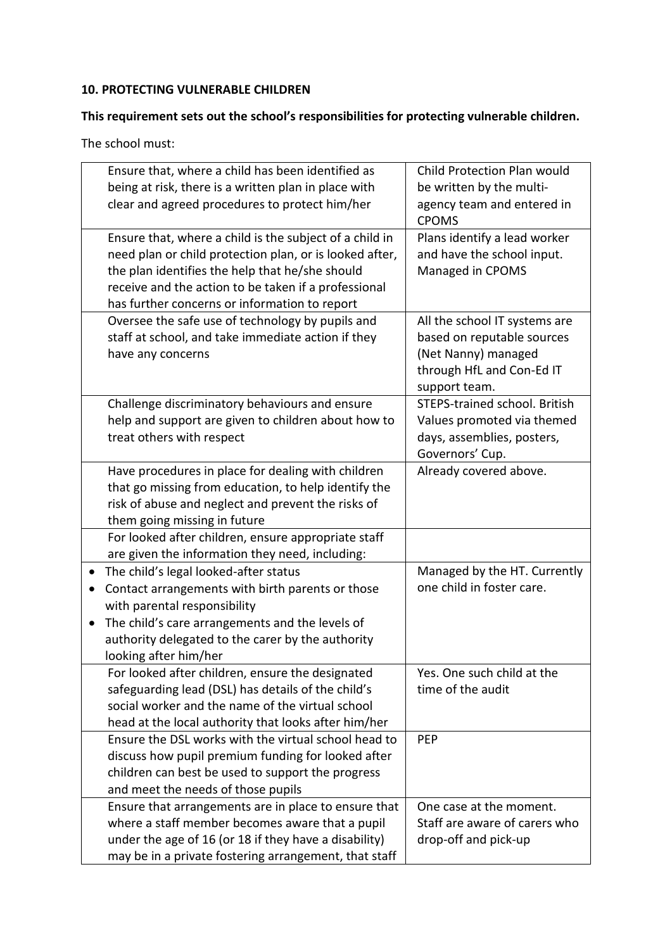#### **10. PROTECTING VULNERABLE CHILDREN**

### **This requirement sets out the school's responsibilities for protecting vulnerable children.**

| Ensure that, where a child has been identified as<br>being at risk, there is a written plan in place with<br>clear and agreed procedures to protect him/her                                                                                                                    | Child Protection Plan would<br>be written by the multi-<br>agency team and entered in<br><b>CPOMS</b>                            |
|--------------------------------------------------------------------------------------------------------------------------------------------------------------------------------------------------------------------------------------------------------------------------------|----------------------------------------------------------------------------------------------------------------------------------|
| Ensure that, where a child is the subject of a child in<br>need plan or child protection plan, or is looked after,<br>the plan identifies the help that he/she should<br>receive and the action to be taken if a professional<br>has further concerns or information to report | Plans identify a lead worker<br>and have the school input.<br>Managed in CPOMS                                                   |
| Oversee the safe use of technology by pupils and<br>staff at school, and take immediate action if they<br>have any concerns                                                                                                                                                    | All the school IT systems are<br>based on reputable sources<br>(Net Nanny) managed<br>through HfL and Con-Ed IT<br>support team. |
| Challenge discriminatory behaviours and ensure<br>help and support are given to children about how to<br>treat others with respect                                                                                                                                             | STEPS-trained school. British<br>Values promoted via themed<br>days, assemblies, posters,<br>Governors' Cup.                     |
| Have procedures in place for dealing with children<br>that go missing from education, to help identify the<br>risk of abuse and neglect and prevent the risks of<br>them going missing in future                                                                               | Already covered above.                                                                                                           |
| For looked after children, ensure appropriate staff<br>are given the information they need, including:                                                                                                                                                                         |                                                                                                                                  |
| The child's legal looked-after status<br>Contact arrangements with birth parents or those<br>with parental responsibility<br>The child's care arrangements and the levels of<br>authority delegated to the carer by the authority<br>looking after him/her                     | Managed by the HT. Currently<br>one child in foster care.                                                                        |
| For looked after children, ensure the designated<br>safeguarding lead (DSL) has details of the child's<br>social worker and the name of the virtual school<br>head at the local authority that looks after him/her                                                             | Yes. One such child at the<br>time of the audit                                                                                  |
| Ensure the DSL works with the virtual school head to<br>discuss how pupil premium funding for looked after<br>children can best be used to support the progress<br>and meet the needs of those pupils                                                                          | <b>PEP</b>                                                                                                                       |
| Ensure that arrangements are in place to ensure that<br>where a staff member becomes aware that a pupil<br>under the age of 16 (or 18 if they have a disability)<br>may be in a private fostering arrangement, that staff                                                      | One case at the moment.<br>Staff are aware of carers who<br>drop-off and pick-up                                                 |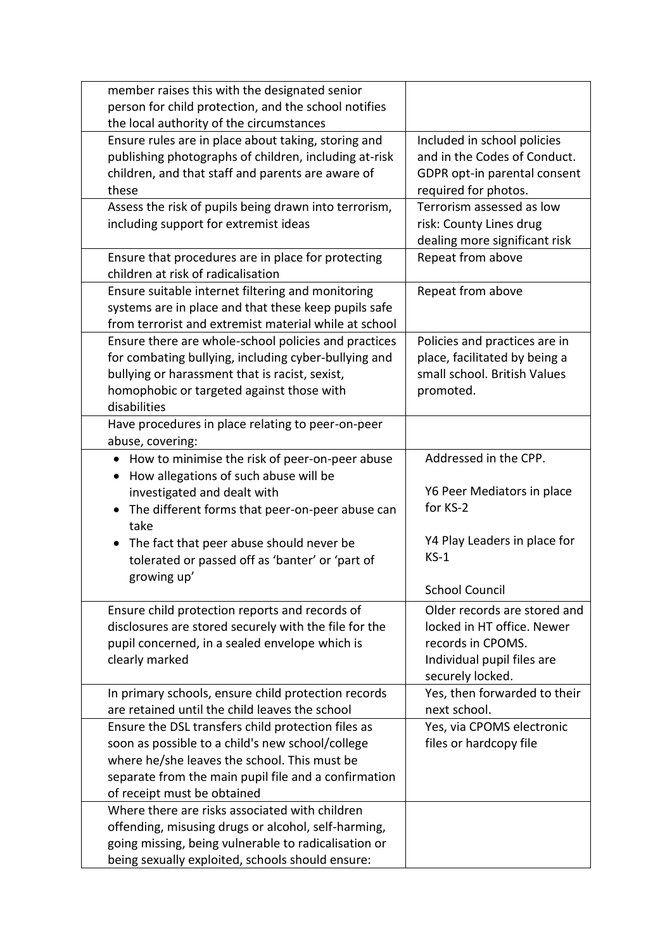| member raises this with the designated senior<br>person for child protection, and the school notifies<br>the local authority of the circumstances                                                                                             |                                                                                                                                                            |
|-----------------------------------------------------------------------------------------------------------------------------------------------------------------------------------------------------------------------------------------------|------------------------------------------------------------------------------------------------------------------------------------------------------------|
| Ensure rules are in place about taking, storing and<br>publishing photographs of children, including at-risk<br>children, and that staff and parents are aware of<br>these                                                                    | Included in school policies<br>and in the Codes of Conduct.<br>GDPR opt-in parental consent<br>required for photos.                                        |
| Assess the risk of pupils being drawn into terrorism,<br>including support for extremist ideas                                                                                                                                                | Terrorism assessed as low<br>risk: County Lines drug<br>dealing more significant risk                                                                      |
| Ensure that procedures are in place for protecting<br>children at risk of radicalisation                                                                                                                                                      | Repeat from above                                                                                                                                          |
| Ensure suitable internet filtering and monitoring<br>systems are in place and that these keep pupils safe<br>from terrorist and extremist material while at school                                                                            | Repeat from above                                                                                                                                          |
| Ensure there are whole-school policies and practices<br>for combating bullying, including cyber-bullying and<br>bullying or harassment that is racist, sexist,<br>homophobic or targeted against those with<br>disabilities                   | Policies and practices are in<br>place, facilitated by being a<br>small school. British Values<br>promoted.                                                |
| Have procedures in place relating to peer-on-peer<br>abuse, covering:                                                                                                                                                                         |                                                                                                                                                            |
| How to minimise the risk of peer-on-peer abuse<br>$\bullet$<br>How allegations of such abuse will be<br>$\bullet$<br>investigated and dealt with<br>The different forms that peer-on-peer abuse can<br>$\bullet$<br>take                      | Addressed in the CPP.<br>Y6 Peer Mediators in place<br>for KS-2                                                                                            |
| The fact that peer abuse should never be<br>$\bullet$<br>tolerated or passed off as 'banter' or 'part of<br>growing up'                                                                                                                       | Y4 Play Leaders in place for<br>$KS-1$                                                                                                                     |
| Ensure child protection reports and records of<br>disclosures are stored securely with the file for the<br>pupil concerned, in a sealed envelope which is<br>clearly marked                                                                   | <b>School Council</b><br>Older records are stored and<br>locked in HT office. Newer<br>records in CPOMS.<br>Individual pupil files are<br>securely locked. |
| In primary schools, ensure child protection records<br>are retained until the child leaves the school                                                                                                                                         | Yes, then forwarded to their<br>next school.                                                                                                               |
| Ensure the DSL transfers child protection files as<br>soon as possible to a child's new school/college<br>where he/she leaves the school. This must be<br>separate from the main pupil file and a confirmation<br>of receipt must be obtained | Yes, via CPOMS electronic<br>files or hardcopy file                                                                                                        |
| Where there are risks associated with children<br>offending, misusing drugs or alcohol, self-harming,<br>going missing, being vulnerable to radicalisation or<br>being sexually exploited, schools should ensure:                             |                                                                                                                                                            |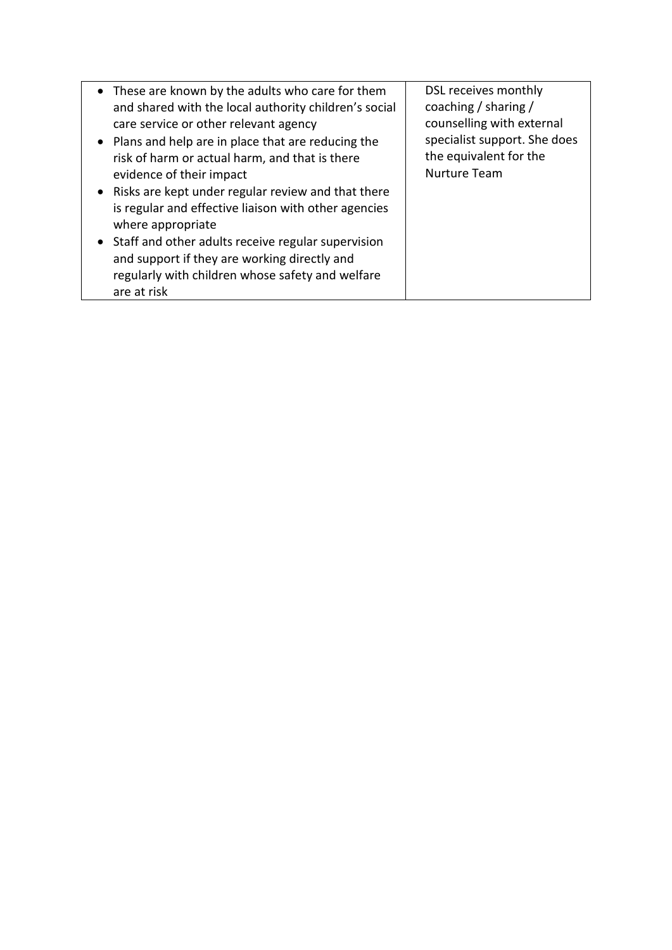| • These are known by the adults who care for them<br>and shared with the local authority children's social<br>care service or other relevant agency<br>• Plans and help are in place that are reducing the<br>risk of harm or actual harm, and that is there<br>evidence of their impact<br>• Risks are kept under regular review and that there<br>is regular and effective liaison with other agencies<br>where appropriate<br>• Staff and other adults receive regular supervision<br>and support if they are working directly and<br>regularly with children whose safety and welfare<br>are at risk | DSL receives monthly<br>coaching / sharing /<br>counselling with external<br>specialist support. She does<br>the equivalent for the<br><b>Nurture Team</b> |
|----------------------------------------------------------------------------------------------------------------------------------------------------------------------------------------------------------------------------------------------------------------------------------------------------------------------------------------------------------------------------------------------------------------------------------------------------------------------------------------------------------------------------------------------------------------------------------------------------------|------------------------------------------------------------------------------------------------------------------------------------------------------------|
|----------------------------------------------------------------------------------------------------------------------------------------------------------------------------------------------------------------------------------------------------------------------------------------------------------------------------------------------------------------------------------------------------------------------------------------------------------------------------------------------------------------------------------------------------------------------------------------------------------|------------------------------------------------------------------------------------------------------------------------------------------------------------|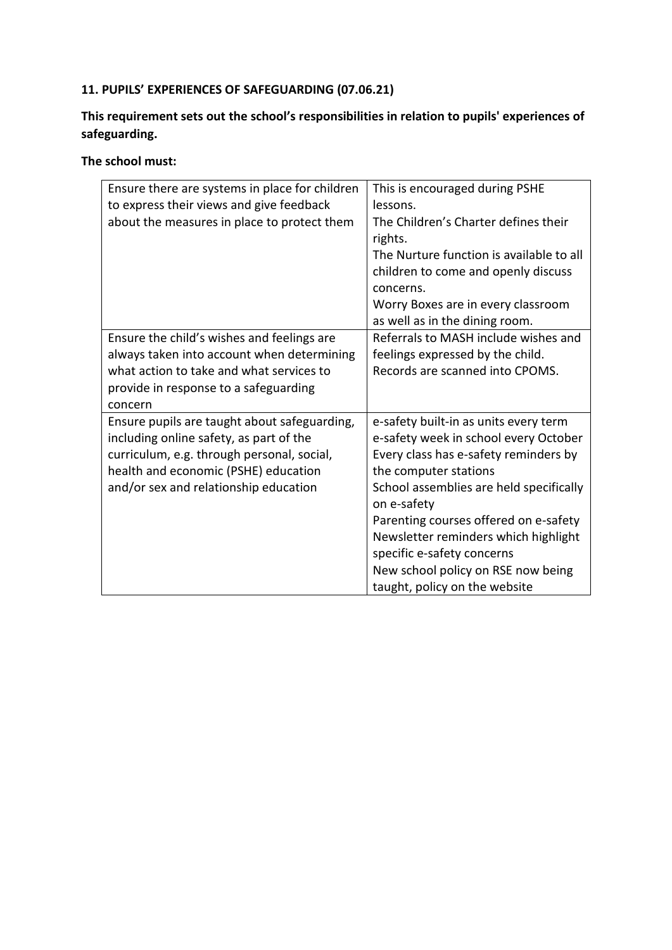# **11. PUPILS' EXPERIENCES OF SAFEGUARDING (07.06.21)**

### **This requirement sets out the school's responsibilities in relation to pupils' experiences of safeguarding.**

| Ensure there are systems in place for children<br>to express their views and give feedback<br>about the measures in place to protect them                                                                              | This is encouraged during PSHE<br>lessons.<br>The Children's Charter defines their<br>rights.<br>The Nurture function is available to all<br>children to come and openly discuss<br>concerns.<br>Worry Boxes are in every classroom<br>as well as in the dining room.                                                                                                                            |
|------------------------------------------------------------------------------------------------------------------------------------------------------------------------------------------------------------------------|--------------------------------------------------------------------------------------------------------------------------------------------------------------------------------------------------------------------------------------------------------------------------------------------------------------------------------------------------------------------------------------------------|
| Ensure the child's wishes and feelings are<br>always taken into account when determining<br>what action to take and what services to<br>provide in response to a safeguarding<br>concern                               | Referrals to MASH include wishes and<br>feelings expressed by the child.<br>Records are scanned into CPOMS.                                                                                                                                                                                                                                                                                      |
| Ensure pupils are taught about safeguarding,<br>including online safety, as part of the<br>curriculum, e.g. through personal, social,<br>health and economic (PSHE) education<br>and/or sex and relationship education | e-safety built-in as units every term<br>e-safety week in school every October<br>Every class has e-safety reminders by<br>the computer stations<br>School assemblies are held specifically<br>on e-safety<br>Parenting courses offered on e-safety<br>Newsletter reminders which highlight<br>specific e-safety concerns<br>New school policy on RSE now being<br>taught, policy on the website |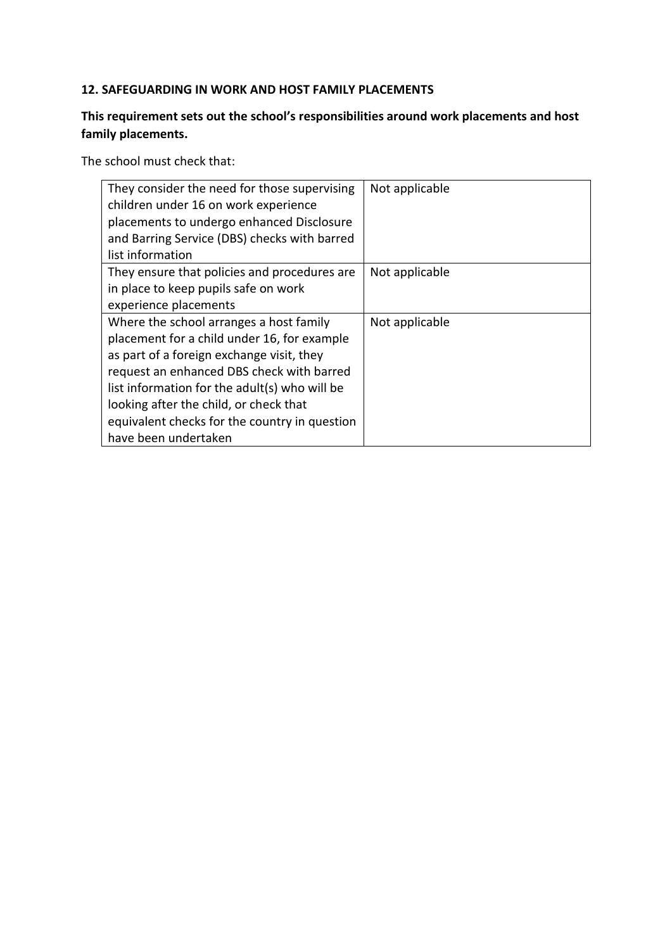#### **12. SAFEGUARDING IN WORK AND HOST FAMILY PLACEMENTS**

### **This requirement sets out the school's responsibilities around work placements and host family placements.**

The school must check that:

| They consider the need for those supervising<br>children under 16 on work experience<br>placements to undergo enhanced Disclosure<br>and Barring Service (DBS) checks with barred<br>list information                                                                                                                                                | Not applicable |
|------------------------------------------------------------------------------------------------------------------------------------------------------------------------------------------------------------------------------------------------------------------------------------------------------------------------------------------------------|----------------|
| They ensure that policies and procedures are<br>in place to keep pupils safe on work<br>experience placements                                                                                                                                                                                                                                        | Not applicable |
| Where the school arranges a host family<br>placement for a child under 16, for example<br>as part of a foreign exchange visit, they<br>request an enhanced DBS check with barred<br>list information for the adult(s) who will be<br>looking after the child, or check that<br>equivalent checks for the country in question<br>have been undertaken | Not applicable |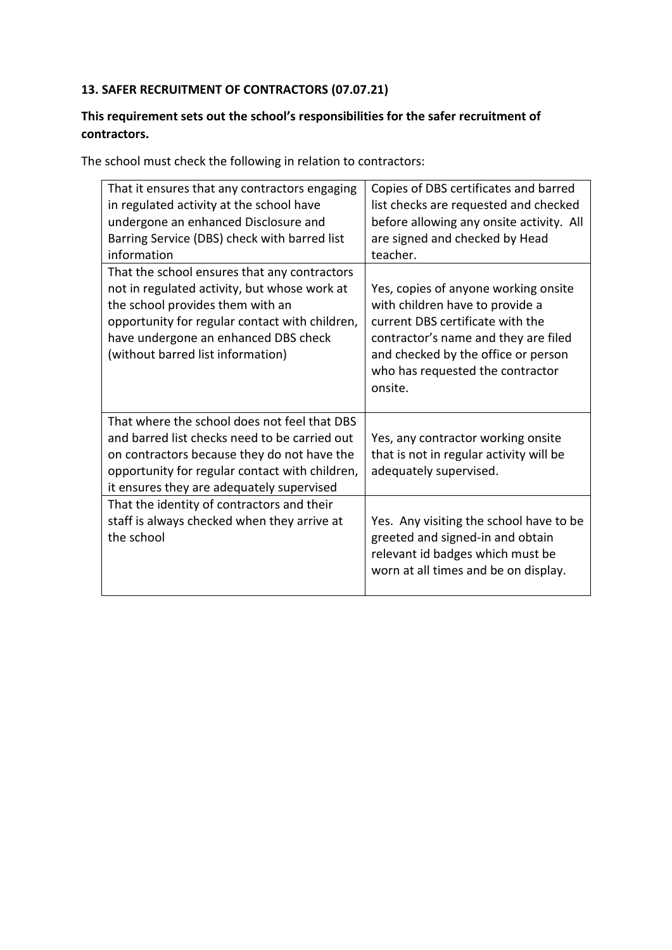### **13. SAFER RECRUITMENT OF CONTRACTORS (07.07.21)**

#### **This requirement sets out the school's responsibilities for the safer recruitment of contractors.**

The school must check the following in relation to contractors:

| Copies of DBS certificates and barred                                                                                                                                                                                                     |
|-------------------------------------------------------------------------------------------------------------------------------------------------------------------------------------------------------------------------------------------|
| list checks are requested and checked<br>before allowing any onsite activity. All<br>are signed and checked by Head<br>teacher.                                                                                                           |
| Yes, copies of anyone working onsite<br>with children have to provide a<br>current DBS certificate with the<br>contractor's name and they are filed<br>and checked by the office or person<br>who has requested the contractor<br>onsite. |
| Yes, any contractor working onsite<br>that is not in regular activity will be<br>adequately supervised.                                                                                                                                   |
| Yes. Any visiting the school have to be<br>greeted and signed-in and obtain<br>relevant id badges which must be<br>worn at all times and be on display.                                                                                   |
|                                                                                                                                                                                                                                           |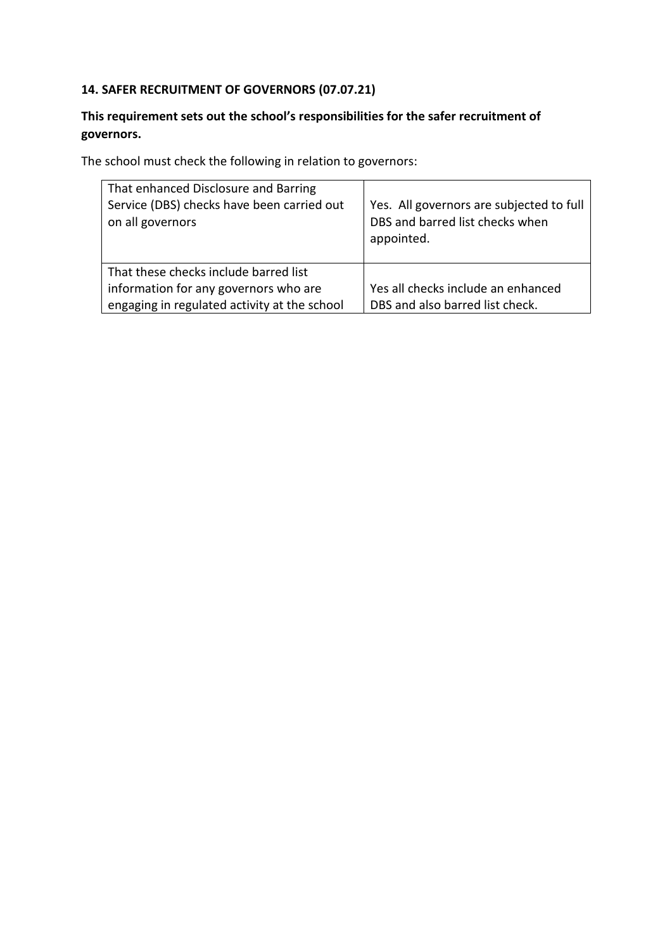### **14. SAFER RECRUITMENT OF GOVERNORS (07.07.21)**

### **This requirement sets out the school's responsibilities for the safer recruitment of governors.**

The school must check the following in relation to governors:

| That enhanced Disclosure and Barring<br>Service (DBS) checks have been carried out<br>on all governors | Yes. All governors are subjected to full<br>DBS and barred list checks when<br>appointed. |
|--------------------------------------------------------------------------------------------------------|-------------------------------------------------------------------------------------------|
| That these checks include barred list<br>information for any governors who are                         | Yes all checks include an enhanced                                                        |
| engaging in regulated activity at the school                                                           | DBS and also barred list check.                                                           |
|                                                                                                        |                                                                                           |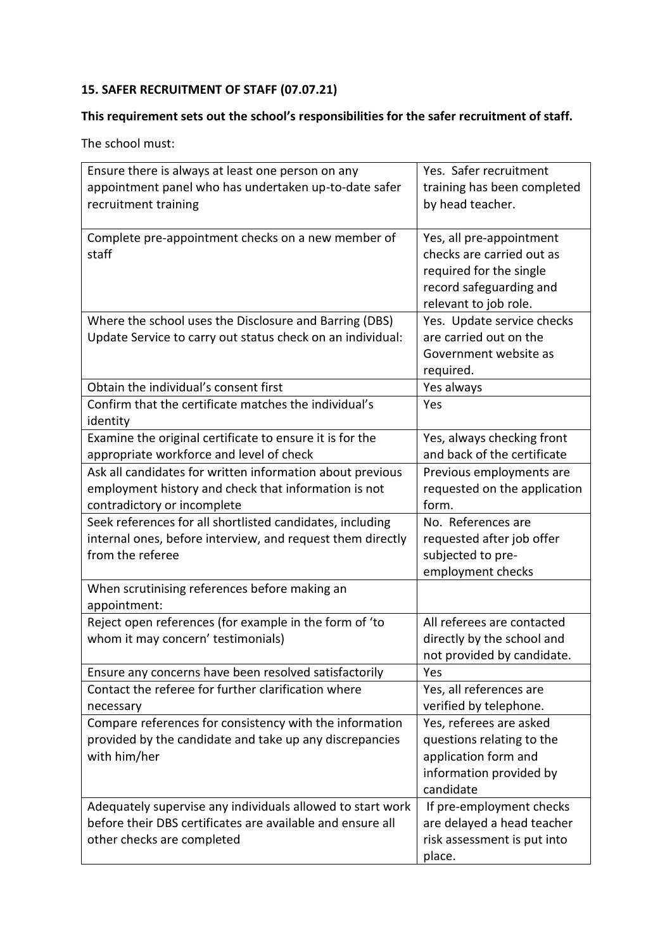# **15. SAFER RECRUITMENT OF STAFF (07.07.21)**

### **This requirement sets out the school's responsibilities for the safer recruitment of staff.**

| Ensure there is always at least one person on any          | Yes. Safer recruitment       |
|------------------------------------------------------------|------------------------------|
| appointment panel who has undertaken up-to-date safer      | training has been completed  |
| recruitment training                                       | by head teacher.             |
|                                                            |                              |
| Complete pre-appointment checks on a new member of         | Yes, all pre-appointment     |
| staff                                                      | checks are carried out as    |
|                                                            | required for the single      |
|                                                            | record safeguarding and      |
|                                                            | relevant to job role.        |
| Where the school uses the Disclosure and Barring (DBS)     | Yes. Update service checks   |
| Update Service to carry out status check on an individual: | are carried out on the       |
|                                                            | Government website as        |
|                                                            | required.                    |
| Obtain the individual's consent first                      | Yes always                   |
| Confirm that the certificate matches the individual's      | Yes                          |
| identity                                                   |                              |
| Examine the original certificate to ensure it is for the   | Yes, always checking front   |
| appropriate workforce and level of check                   | and back of the certificate  |
| Ask all candidates for written information about previous  | Previous employments are     |
| employment history and check that information is not       | requested on the application |
| contradictory or incomplete                                | form.                        |
| Seek references for all shortlisted candidates, including  | No. References are           |
| internal ones, before interview, and request them directly | requested after job offer    |
| from the referee                                           | subjected to pre-            |
|                                                            | employment checks            |
| When scrutinising references before making an              |                              |
| appointment:                                               |                              |
| Reject open references (for example in the form of 'to     | All referees are contacted   |
| whom it may concern' testimonials)                         | directly by the school and   |
|                                                            | not provided by candidate.   |
| Ensure any concerns have been resolved satisfactorily      | Yes                          |
| Contact the referee for further clarification where        | Yes, all references are      |
| necessary                                                  | verified by telephone.       |
| Compare references for consistency with the information    | Yes, referees are asked      |
| provided by the candidate and take up any discrepancies    | questions relating to the    |
| with him/her                                               | application form and         |
|                                                            | information provided by      |
|                                                            | candidate                    |
| Adequately supervise any individuals allowed to start work | If pre-employment checks     |
| before their DBS certificates are available and ensure all | are delayed a head teacher   |
| other checks are completed                                 | risk assessment is put into  |
|                                                            | place.                       |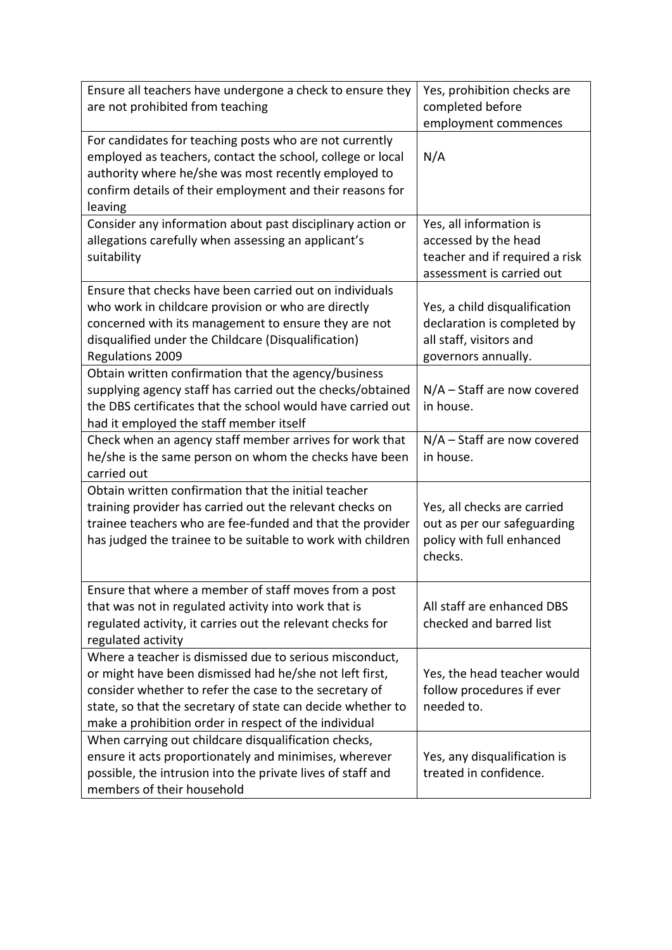| Ensure all teachers have undergone a check to ensure they<br>are not prohibited from teaching                                                                                                                                                                                                        | Yes, prohibition checks are<br>completed before<br>employment commences                                        |
|------------------------------------------------------------------------------------------------------------------------------------------------------------------------------------------------------------------------------------------------------------------------------------------------------|----------------------------------------------------------------------------------------------------------------|
| For candidates for teaching posts who are not currently<br>employed as teachers, contact the school, college or local<br>authority where he/she was most recently employed to<br>confirm details of their employment and their reasons for<br>leaving                                                | N/A                                                                                                            |
| Consider any information about past disciplinary action or<br>allegations carefully when assessing an applicant's<br>suitability                                                                                                                                                                     | Yes, all information is<br>accessed by the head<br>teacher and if required a risk<br>assessment is carried out |
| Ensure that checks have been carried out on individuals<br>who work in childcare provision or who are directly<br>concerned with its management to ensure they are not<br>disqualified under the Childcare (Disqualification)<br><b>Regulations 2009</b>                                             | Yes, a child disqualification<br>declaration is completed by<br>all staff, visitors and<br>governors annually. |
| Obtain written confirmation that the agency/business<br>supplying agency staff has carried out the checks/obtained<br>the DBS certificates that the school would have carried out<br>had it employed the staff member itself                                                                         | $N/A$ – Staff are now covered<br>in house.                                                                     |
| Check when an agency staff member arrives for work that<br>he/she is the same person on whom the checks have been<br>carried out                                                                                                                                                                     | N/A - Staff are now covered<br>in house.                                                                       |
| Obtain written confirmation that the initial teacher<br>training provider has carried out the relevant checks on<br>trainee teachers who are fee-funded and that the provider<br>has judged the trainee to be suitable to work with children                                                         | Yes, all checks are carried<br>out as per our safeguarding<br>policy with full enhanced<br>checks.             |
| Ensure that where a member of staff moves from a post<br>that was not in regulated activity into work that is<br>regulated activity, it carries out the relevant checks for<br>regulated activity                                                                                                    | All staff are enhanced DBS<br>checked and barred list                                                          |
| Where a teacher is dismissed due to serious misconduct,<br>or might have been dismissed had he/she not left first,<br>consider whether to refer the case to the secretary of<br>state, so that the secretary of state can decide whether to<br>make a prohibition order in respect of the individual | Yes, the head teacher would<br>follow procedures if ever<br>needed to.                                         |
| When carrying out childcare disqualification checks,<br>ensure it acts proportionately and minimises, wherever<br>possible, the intrusion into the private lives of staff and<br>members of their household                                                                                          | Yes, any disqualification is<br>treated in confidence.                                                         |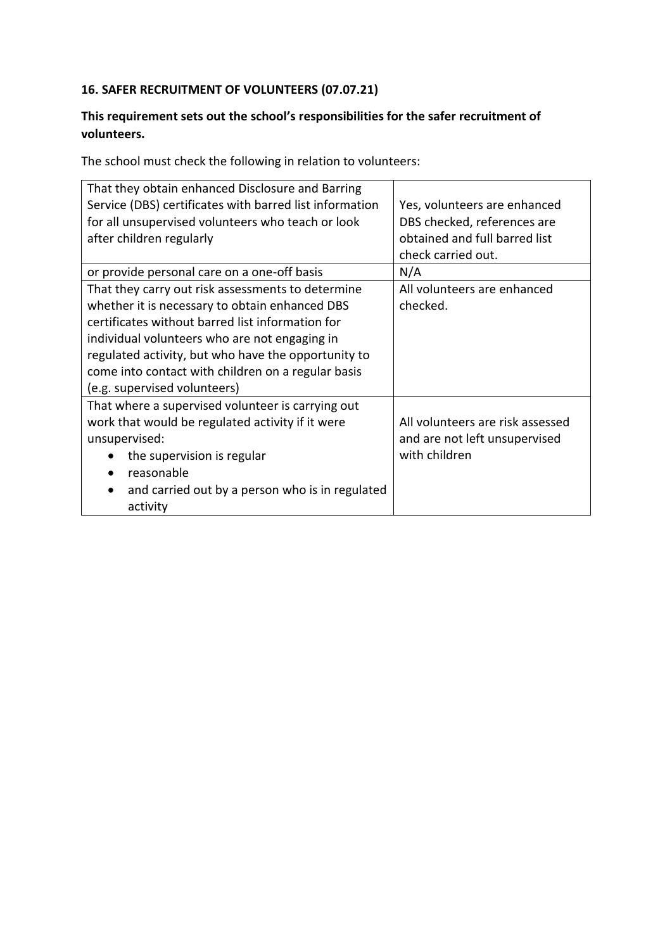### **16. SAFER RECRUITMENT OF VOLUNTEERS (07.07.21)**

#### **This requirement sets out the school's responsibilities for the safer recruitment of volunteers.**

The school must check the following in relation to volunteers:

| That they obtain enhanced Disclosure and Barring        |                                  |
|---------------------------------------------------------|----------------------------------|
| Service (DBS) certificates with barred list information | Yes, volunteers are enhanced     |
| for all unsupervised volunteers who teach or look       | DBS checked, references are      |
| after children regularly                                | obtained and full barred list    |
|                                                         | check carried out.               |
| or provide personal care on a one-off basis             | N/A                              |
| That they carry out risk assessments to determine       | All volunteers are enhanced      |
| whether it is necessary to obtain enhanced DBS          | checked.                         |
| certificates without barred list information for        |                                  |
| individual volunteers who are not engaging in           |                                  |
| regulated activity, but who have the opportunity to     |                                  |
| come into contact with children on a regular basis      |                                  |
| (e.g. supervised volunteers)                            |                                  |
| That where a supervised volunteer is carrying out       |                                  |
| work that would be regulated activity if it were        | All volunteers are risk assessed |
| unsupervised:                                           | and are not left unsupervised    |
| the supervision is regular                              | with children                    |
| reasonable                                              |                                  |
| and carried out by a person who is in regulated         |                                  |
| activity                                                |                                  |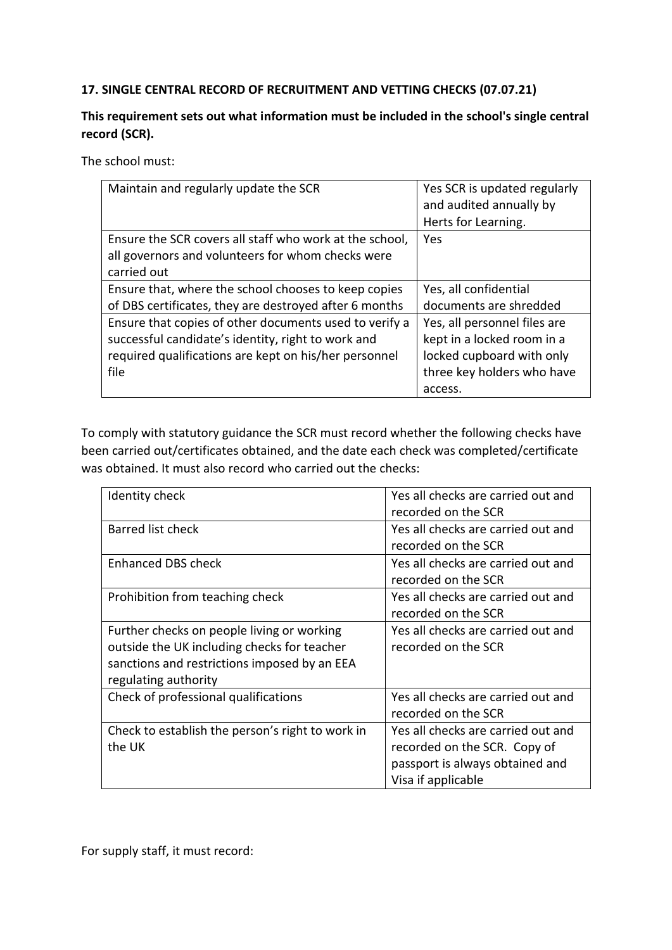#### **17. SINGLE CENTRAL RECORD OF RECRUITMENT AND VETTING CHECKS (07.07.21)**

#### **This requirement sets out what information must be included in the school's single central record (SCR).**

The school must:

| Maintain and regularly update the SCR                   | Yes SCR is updated regularly<br>and audited annually by<br>Herts for Learning. |
|---------------------------------------------------------|--------------------------------------------------------------------------------|
| Ensure the SCR covers all staff who work at the school, | Yes                                                                            |
| all governors and volunteers for whom checks were       |                                                                                |
| carried out                                             |                                                                                |
| Ensure that, where the school chooses to keep copies    | Yes, all confidential                                                          |
| of DBS certificates, they are destroyed after 6 months  | documents are shredded                                                         |
| Ensure that copies of other documents used to verify a  | Yes, all personnel files are                                                   |
| successful candidate's identity, right to work and      | kept in a locked room in a                                                     |
| required qualifications are kept on his/her personnel   | locked cupboard with only                                                      |
| file                                                    | three key holders who have                                                     |
|                                                         | access.                                                                        |

To comply with statutory guidance the SCR must record whether the following checks have been carried out/certificates obtained, and the date each check was completed/certificate was obtained. It must also record who carried out the checks:

| Identity check                                   | Yes all checks are carried out and |
|--------------------------------------------------|------------------------------------|
|                                                  | recorded on the SCR                |
| <b>Barred list check</b>                         | Yes all checks are carried out and |
|                                                  | recorded on the SCR                |
| Enhanced DBS check                               | Yes all checks are carried out and |
|                                                  | recorded on the SCR                |
| Prohibition from teaching check                  | Yes all checks are carried out and |
|                                                  | recorded on the SCR                |
| Further checks on people living or working       | Yes all checks are carried out and |
| outside the UK including checks for teacher      | recorded on the SCR                |
| sanctions and restrictions imposed by an EEA     |                                    |
| regulating authority                             |                                    |
| Check of professional qualifications             | Yes all checks are carried out and |
|                                                  | recorded on the SCR                |
| Check to establish the person's right to work in | Yes all checks are carried out and |
| the UK                                           | recorded on the SCR. Copy of       |
|                                                  | passport is always obtained and    |
|                                                  | Visa if applicable                 |